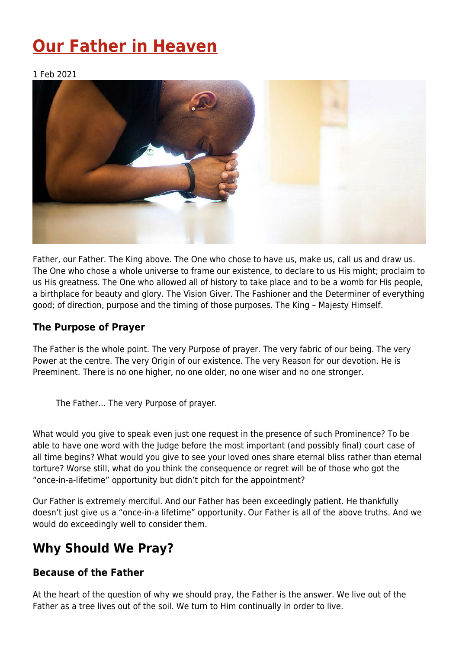# **[Our Father in Heaven](https://four12global.com/articles/our-father-in-heaven/)**

1 Feb 2021



Father, our Father. The King above. The One who chose to have us, make us, call us and draw us. The One who chose a whole universe to frame our existence, to declare to us His might; proclaim to us His greatness. The One who allowed all of history to take place and to be a womb for His people, a birthplace for beauty and glory. The Vision Giver. The Fashioner and the Determiner of everything good; of direction, purpose and the timing of those purposes. The King – Majesty Himself.

#### **The Purpose of Prayer**

The Father is the whole point. The very Purpose of prayer. The very fabric of our being. The very Power at the centre. The very Origin of our existence. The very Reason for our devotion. He is Preeminent. There is no one higher, no one older, no one wiser and no one stronger.

The Father… The very Purpose of prayer.

What would you give to speak even just one request in the presence of such Prominence? To be able to have one word with the Judge before the most important (and possibly final) court case of all time begins? What would you give to see your loved ones share eternal bliss rather than eternal torture? Worse still, what do you think the consequence or regret will be of those who got the "once-in-a-lifetime" opportunity but didn't pitch for the appointment?

Our Father is extremely merciful. And our Father has been exceedingly patient. He thankfully doesn't just give us a "once-in-a lifetime" opportunity. Our Father is all of the above truths. And we would do exceedingly well to consider them.

## **Why Should We Pray?**

#### **Because of the Father**

At the heart of the question of why we should pray, the Father is the answer. We live out of the Father as a tree lives out of the soil. We turn to Him continually in order to live.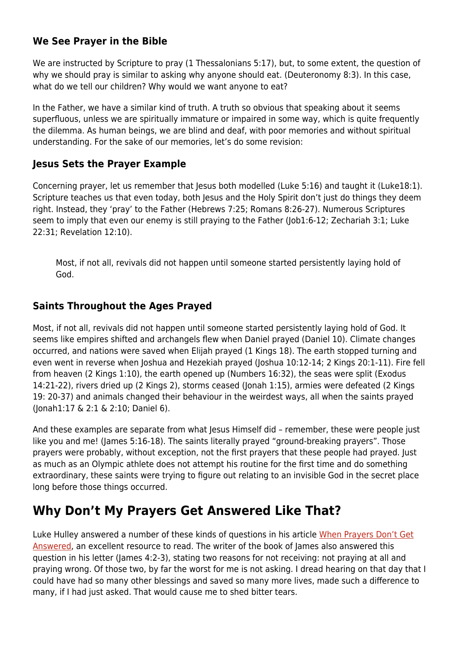#### **We See Prayer in the Bible**

We are instructed by Scripture to pray (1 Thessalonians 5:17), but, to some extent, the question of why we should pray is similar to asking why anyone should eat. (Deuteronomy 8:3). In this case, what do we tell our children? Why would we want anyone to eat?

In the Father, we have a similar kind of truth. A truth so obvious that speaking about it seems superfluous, unless we are spiritually immature or impaired in some way, which is quite frequently the dilemma. As human beings, we are blind and deaf, with poor memories and without spiritual understanding. For the sake of our memories, let's do some revision:

#### **Jesus Sets the Prayer Example**

Concerning prayer, let us remember that Jesus both modelled (Luke 5:16) and taught it (Luke18:1). Scripture teaches us that even today, both Jesus and the Holy Spirit don't just do things they deem right. Instead, they 'pray' to the Father (Hebrews 7:25; Romans 8:26-27). Numerous Scriptures seem to imply that even our enemy is still praying to the Father (Job1:6-12; Zechariah 3:1; Luke 22:31; Revelation 12:10).

Most, if not all, revivals did not happen until someone started persistently laying hold of God.

#### **Saints Throughout the Ages Prayed**

Most, if not all, revivals did not happen until someone started persistently laying hold of God. It seems like empires shifted and archangels flew when Daniel prayed (Daniel 10). Climate changes occurred, and nations were saved when Elijah prayed (1 Kings 18). The earth stopped turning and even went in reverse when Joshua and Hezekiah prayed (Joshua 10:12-14; 2 Kings 20:1-11). Fire fell from heaven (2 Kings 1:10), the earth opened up (Numbers 16:32), the seas were split (Exodus 14:21-22), rivers dried up (2 Kings 2), storms ceased (Jonah 1:15), armies were defeated (2 Kings 19: 20-37) and animals changed their behaviour in the weirdest ways, all when the saints prayed (Jonah1:17 & 2:1 & 2:10; Daniel 6).

And these examples are separate from what Jesus Himself did – remember, these were people just like you and me! (James 5:16-18). The saints literally prayed "ground-breaking prayers". Those prayers were probably, without exception, not the first prayers that these people had prayed. Just as much as an Olympic athlete does not attempt his routine for the first time and do something extraordinary, these saints were trying to figure out relating to an invisible God in the secret place long before those things occurred.

## **Why Don't My Prayers Get Answered Like That?**

Luke Hulley answered a number of these kinds of questions in his article [When Prayers Don't Get](https://www.four12global.com/articles/christian-living/when-prayers-dont-get-answered/) [Answered](https://www.four12global.com/articles/christian-living/when-prayers-dont-get-answered/), an excellent resource to read. The writer of the book of James also answered this question in his letter (James 4:2-3), stating two reasons for not receiving: not praying at all and praying wrong. Of those two, by far the worst for me is not asking. I dread hearing on that day that I could have had so many other blessings and saved so many more lives, made such a difference to many, if I had just asked. That would cause me to shed bitter tears.